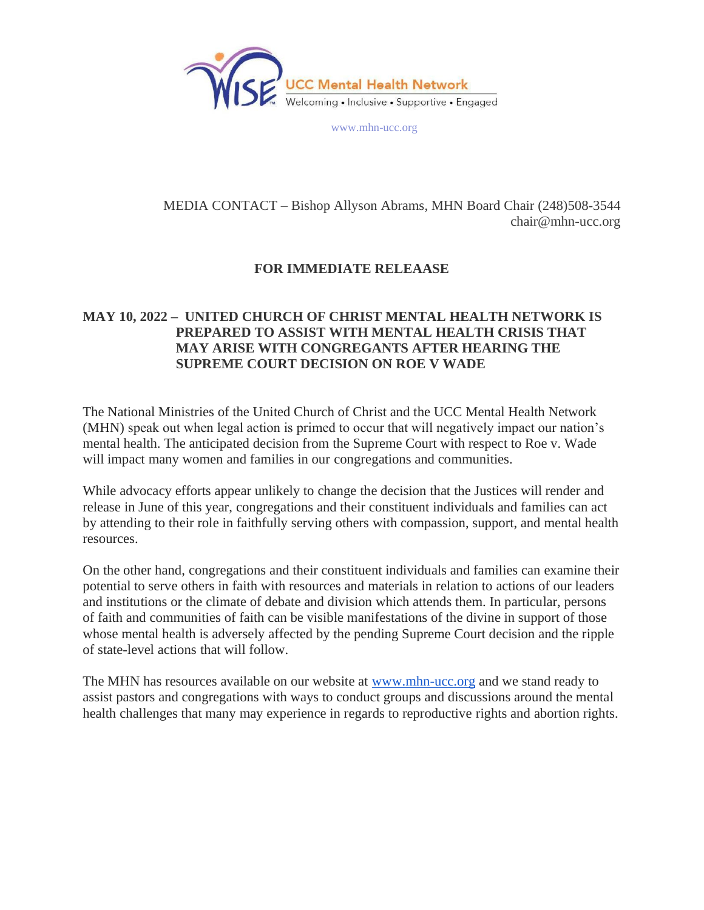

www.mhn-ucc.org

## MEDIA CONTACT – Bishop Allyson Abrams, MHN Board Chair (248)508-3544 chair@mhn-ucc.org

## **FOR IMMEDIATE RELEAASE**

## **MAY 10, 2022 – UNITED CHURCH OF CHRIST MENTAL HEALTH NETWORK IS PREPARED TO ASSIST WITH MENTAL HEALTH CRISIS THAT MAY ARISE WITH CONGREGANTS AFTER HEARING THE SUPREME COURT DECISION ON ROE V WADE**

The National Ministries of the United Church of Christ and the UCC Mental Health Network (MHN) speak out when legal action is primed to occur that will negatively impact our nation's mental health. The anticipated decision from the Supreme Court with respect to Roe v. Wade will impact many women and families in our congregations and communities.

While advocacy efforts appear unlikely to change the decision that the Justices will render and release in June of this year, congregations and their constituent individuals and families can act by attending to their role in faithfully serving others with compassion, support, and mental health resources.

On the other hand, congregations and their constituent individuals and families can examine their potential to serve others in faith with resources and materials in relation to actions of our leaders and institutions or the climate of debate and division which attends them. In particular, persons of faith and communities of faith can be visible manifestations of the divine in support of those whose mental health is adversely affected by the pending Supreme Court decision and the ripple of state-level actions that will follow.

The MHN has resources available on our website at [www.mhn-ucc.org](http://www.mhn-ucc.org/) and we stand ready to assist pastors and congregations with ways to conduct groups and discussions around the mental health challenges that many may experience in regards to reproductive rights and abortion rights.